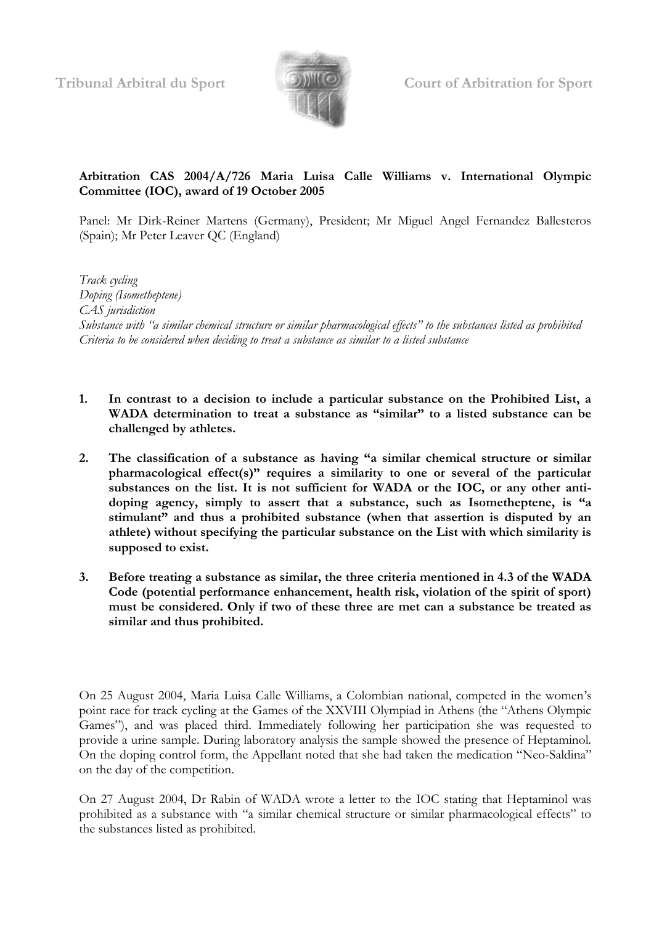

**Tribunal Arbitral du Sport Court of Arbitration for Sport**

## **Arbitration CAS 2004/A/726 Maria Luisa Calle Williams v. International Olympic Committee (IOC), award of 19 October 2005**

Panel: Mr Dirk-Reiner Martens (Germany), President; Mr Miguel Angel Fernandez Ballesteros (Spain); Mr Peter Leaver QC (England)

*Track cycling Doping (Isometheptene) CAS jurisdiction Substance with "a similar chemical structure or similar pharmacological effects" to the substances listed as prohibited Criteria to be considered when deciding to treat a substance as similar to a listed substance*

- **1. In contrast to a decision to include a particular substance on the Prohibited List, a WADA determination to treat a substance as "similar" to a listed substance can be challenged by athletes.**
- **2. The classification of a substance as having "a similar chemical structure or similar pharmacological effect(s)" requires a similarity to one or several of the particular substances on the list. It is not sufficient for WADA or the IOC, or any other antidoping agency, simply to assert that a substance, such as Isometheptene, is "a stimulant" and thus a prohibited substance (when that assertion is disputed by an athlete) without specifying the particular substance on the List with which similarity is supposed to exist.**
- **3. Before treating a substance as similar, the three criteria mentioned in 4.3 of the WADA Code (potential performance enhancement, health risk, violation of the spirit of sport) must be considered. Only if two of these three are met can a substance be treated as similar and thus prohibited.**

On 25 August 2004, Maria Luisa Calle Williams, a Colombian national, competed in the women's point race for track cycling at the Games of the XXVIII Olympiad in Athens (the "Athens Olympic Games"), and was placed third. Immediately following her participation she was requested to provide a urine sample. During laboratory analysis the sample showed the presence of Heptaminol. On the doping control form, the Appellant noted that she had taken the medication "Neo-Saldina" on the day of the competition.

On 27 August 2004, Dr Rabin of WADA wrote a letter to the IOC stating that Heptaminol was prohibited as a substance with "a similar chemical structure or similar pharmacological effects" to the substances listed as prohibited.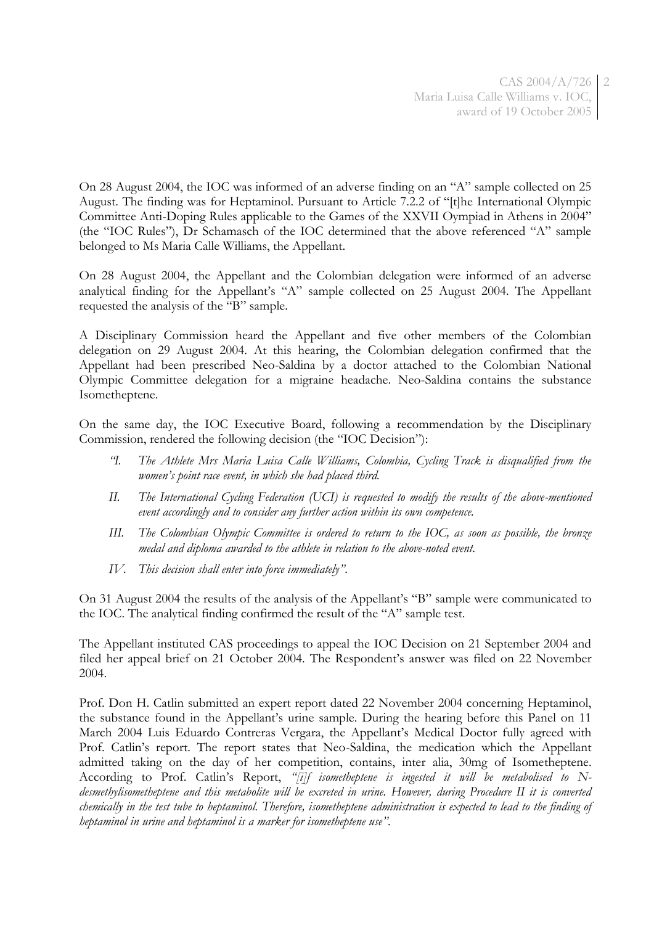On 28 August 2004, the IOC was informed of an adverse finding on an "A" sample collected on 25 August. The finding was for Heptaminol. Pursuant to Article 7.2.2 of "[t]he International Olympic Committee Anti-Doping Rules applicable to the Games of the XXVII Oympiad in Athens in 2004" (the "IOC Rules"), Dr Schamasch of the IOC determined that the above referenced "A" sample belonged to Ms Maria Calle Williams, the Appellant.

On 28 August 2004, the Appellant and the Colombian delegation were informed of an adverse analytical finding for the Appellant's "A" sample collected on 25 August 2004. The Appellant requested the analysis of the "B" sample.

A Disciplinary Commission heard the Appellant and five other members of the Colombian delegation on 29 August 2004. At this hearing, the Colombian delegation confirmed that the Appellant had been prescribed Neo-Saldina by a doctor attached to the Colombian National Olympic Committee delegation for a migraine headache. Neo-Saldina contains the substance Isometheptene.

On the same day, the IOC Executive Board, following a recommendation by the Disciplinary Commission, rendered the following decision (the "IOC Decision"):

- *"I. The Athlete Mrs Maria Luisa Calle Williams, Colombia, Cycling Track is disqualified from the women's point race event, in which she had placed third.*
- *II. The International Cycling Federation (UCI) is requested to modify the results of the above-mentioned event accordingly and to consider any further action within its own competence.*
- *III. The Colombian Olympic Committee is ordered to return to the IOC, as soon as possible, the bronze medal and diploma awarded to the athlete in relation to the above-noted event.*
- *IV. This decision shall enter into force immediately"*.

On 31 August 2004 the results of the analysis of the Appellant's "B" sample were communicated to the IOC. The analytical finding confirmed the result of the "A" sample test.

The Appellant instituted CAS proceedings to appeal the IOC Decision on 21 September 2004 and filed her appeal brief on 21 October 2004. The Respondent's answer was filed on 22 November 2004.

Prof. Don H. Catlin submitted an expert report dated 22 November 2004 concerning Heptaminol, the substance found in the Appellant's urine sample. During the hearing before this Panel on 11 March 2004 Luis Eduardo Contreras Vergara, the Appellant's Medical Doctor fully agreed with Prof. Catlin's report. The report states that Neo-Saldina, the medication which the Appellant admitted taking on the day of her competition, contains, inter alia, 30mg of Isometheptene. According to Prof. Catlin's Report, *"[i]f isometheptene is ingested it will be metabolised to Ndesmethylisometheptene and this metabolite will be excreted in urine. However, during Procedure II it is converted chemically in the test tube to heptaminol. Therefore, isometheptene administration is expected to lead to the finding of heptaminol in urine and heptaminol is a marker for isometheptene use"*.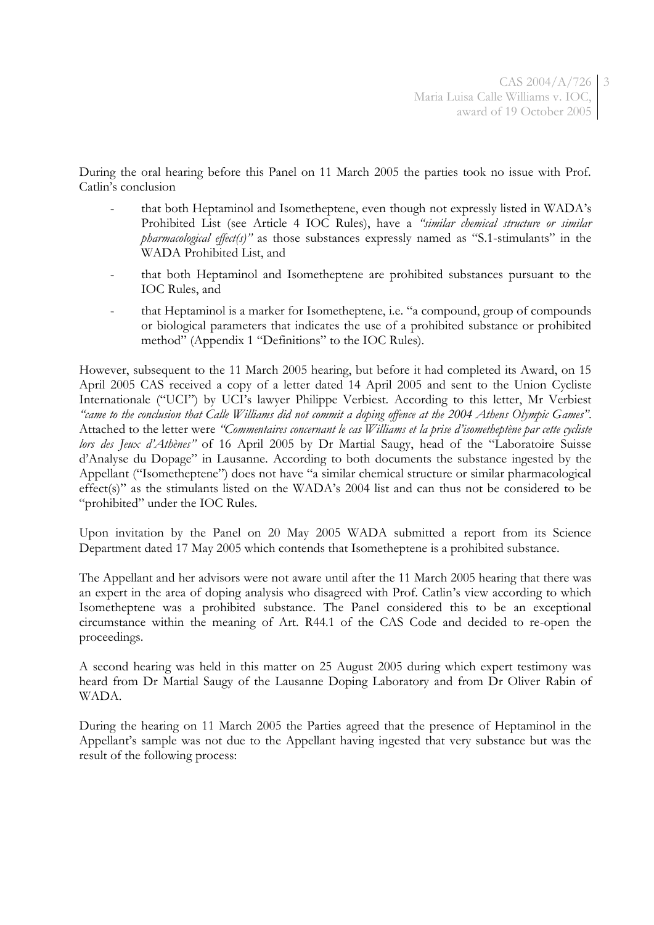3

During the oral hearing before this Panel on 11 March 2005 the parties took no issue with Prof. Catlin's conclusion

- that both Heptaminol and Isometheptene, even though not expressly listed in WADA's Prohibited List (see Article 4 IOC Rules), have a *"similar chemical structure or similar pharmacological effect(s)*<sup>"</sup> as those substances expressly named as "S.1-stimulants" in the WADA Prohibited List, and
- that both Heptaminol and Isometheptene are prohibited substances pursuant to the IOC Rules, and
- that Heptaminol is a marker for Isometheptene, i.e. "a compound, group of compounds or biological parameters that indicates the use of a prohibited substance or prohibited method" (Appendix 1 "Definitions" to the IOC Rules).

However, subsequent to the 11 March 2005 hearing, but before it had completed its Award, on 15 April 2005 CAS received a copy of a letter dated 14 April 2005 and sent to the Union Cycliste Internationale ("UCI") by UCI's lawyer Philippe Verbiest. According to this letter, Mr Verbiest *"came to the conclusion that Calle Williams did not commit a doping offence at the 2004 Athens Olympic Games"*. Attached to the letter were *"Commentaires concernant le cas Williams et la prise d'isometheptène par cette cycliste lors des Jeux d'Athènes"* of 16 April 2005 by Dr Martial Saugy, head of the "Laboratoire Suisse d'Analyse du Dopage" in Lausanne. According to both documents the substance ingested by the Appellant ("Isometheptene") does not have "a similar chemical structure or similar pharmacological effect(s)" as the stimulants listed on the WADA's 2004 list and can thus not be considered to be "prohibited" under the IOC Rules.

Upon invitation by the Panel on 20 May 2005 WADA submitted a report from its Science Department dated 17 May 2005 which contends that Isometheptene is a prohibited substance.

The Appellant and her advisors were not aware until after the 11 March 2005 hearing that there was an expert in the area of doping analysis who disagreed with Prof. Catlin's view according to which Isometheptene was a prohibited substance. The Panel considered this to be an exceptional circumstance within the meaning of Art. R44.1 of the CAS Code and decided to re-open the proceedings.

A second hearing was held in this matter on 25 August 2005 during which expert testimony was heard from Dr Martial Saugy of the Lausanne Doping Laboratory and from Dr Oliver Rabin of WADA.

During the hearing on 11 March 2005 the Parties agreed that the presence of Heptaminol in the Appellant's sample was not due to the Appellant having ingested that very substance but was the result of the following process: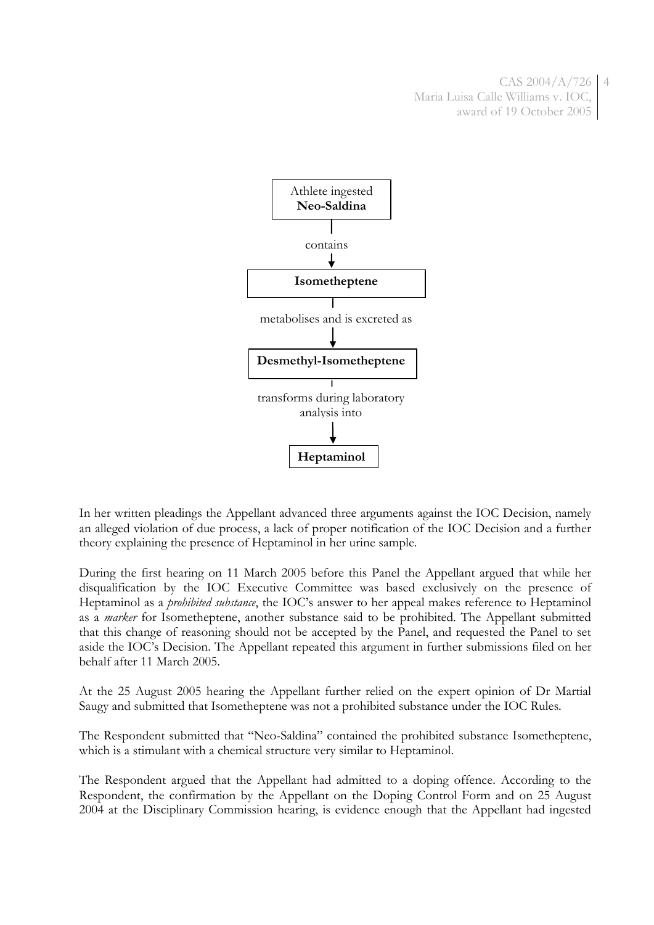

In her written pleadings the Appellant advanced three arguments against the IOC Decision, namely an alleged violation of due process, a lack of proper notification of the IOC Decision and a further theory explaining the presence of Heptaminol in her urine sample.

During the first hearing on 11 March 2005 before this Panel the Appellant argued that while her disqualification by the IOC Executive Committee was based exclusively on the presence of Heptaminol as a *prohibited substance*, the IOC's answer to her appeal makes reference to Heptaminol as a *marker* for Isometheptene, another substance said to be prohibited. The Appellant submitted that this change of reasoning should not be accepted by the Panel, and requested the Panel to set aside the IOC's Decision. The Appellant repeated this argument in further submissions filed on her behalf after 11 March 2005.

At the 25 August 2005 hearing the Appellant further relied on the expert opinion of Dr Martial Saugy and submitted that Isometheptene was not a prohibited substance under the IOC Rules.

The Respondent submitted that "Neo-Saldina" contained the prohibited substance Isometheptene, which is a stimulant with a chemical structure very similar to Heptaminol.

The Respondent argued that the Appellant had admitted to a doping offence. According to the Respondent, the confirmation by the Appellant on the Doping Control Form and on 25 August 2004 at the Disciplinary Commission hearing, is evidence enough that the Appellant had ingested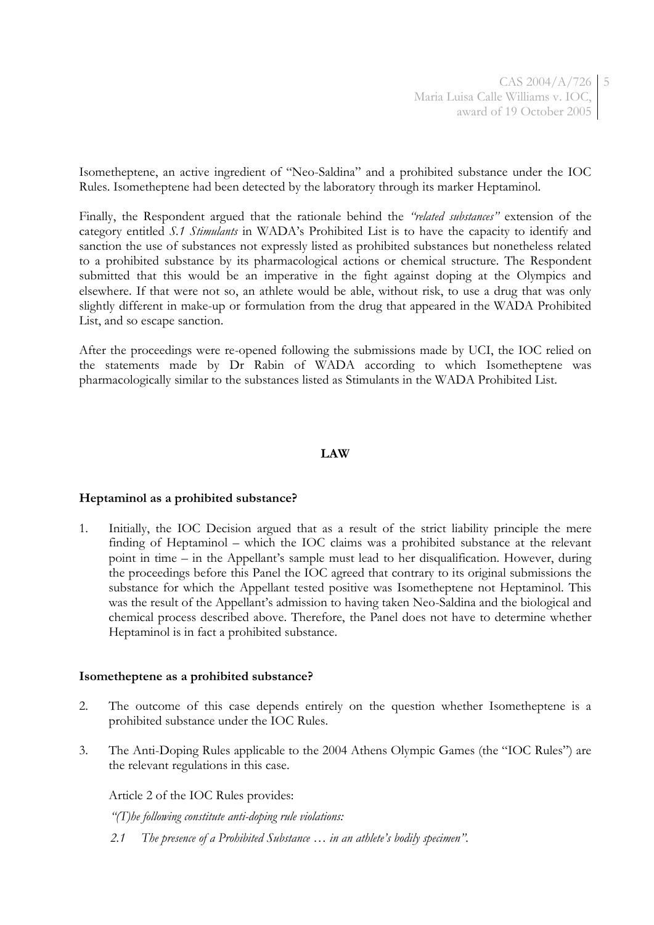Isometheptene, an active ingredient of "Neo-Saldina" and a prohibited substance under the IOC Rules. Isometheptene had been detected by the laboratory through its marker Heptaminol.

Finally, the Respondent argued that the rationale behind the *"related substances"* extension of the category entitled *S.1 Stimulants* in WADA's Prohibited List is to have the capacity to identify and sanction the use of substances not expressly listed as prohibited substances but nonetheless related to a prohibited substance by its pharmacological actions or chemical structure. The Respondent submitted that this would be an imperative in the fight against doping at the Olympics and elsewhere. If that were not so, an athlete would be able, without risk, to use a drug that was only slightly different in make-up or formulation from the drug that appeared in the WADA Prohibited List, and so escape sanction.

After the proceedings were re-opened following the submissions made by UCI, the IOC relied on the statements made by Dr Rabin of WADA according to which Isometheptene was pharmacologically similar to the substances listed as Stimulants in the WADA Prohibited List.

#### **LAW**

#### **Heptaminol as a prohibited substance?**

1. Initially, the IOC Decision argued that as a result of the strict liability principle the mere finding of Heptaminol – which the IOC claims was a prohibited substance at the relevant point in time – in the Appellant's sample must lead to her disqualification. However, during the proceedings before this Panel the IOC agreed that contrary to its original submissions the substance for which the Appellant tested positive was Isometheptene not Heptaminol. This was the result of the Appellant's admission to having taken Neo-Saldina and the biological and chemical process described above. Therefore, the Panel does not have to determine whether Heptaminol is in fact a prohibited substance.

#### **Isometheptene as a prohibited substance?**

- 2. The outcome of this case depends entirely on the question whether Isometheptene is a prohibited substance under the IOC Rules.
- 3. The Anti-Doping Rules applicable to the 2004 Athens Olympic Games (the "IOC Rules") are the relevant regulations in this case.

Article 2 of the IOC Rules provides:

*"(T)he following constitute anti-doping rule violations:*

*2.1 The presence of a Prohibited Substance … in an athlete's bodily specimen".*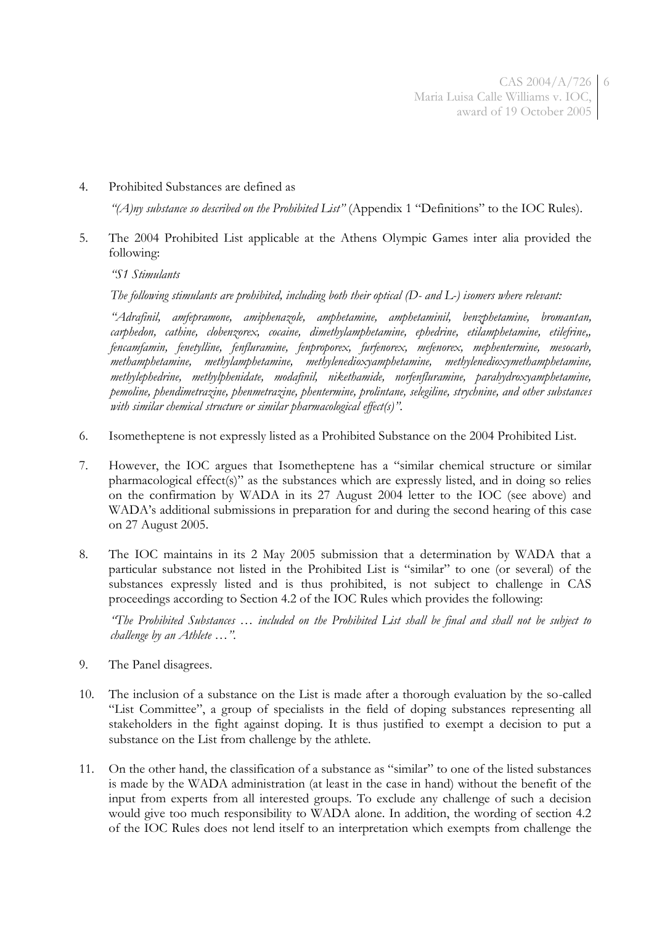### 4. Prohibited Substances are defined as

*"(A)ny substance so described on the Prohibited List"* (Appendix 1 "Definitions" to the IOC Rules).

5. The 2004 Prohibited List applicable at the Athens Olympic Games inter alia provided the following:

*"S1 Stimulants*

*The following stimulants are prohibited, including both their optical (D- and L-) isomers where relevant:*

*"Adrafinil, amfepramone, amiphenazole, amphetamine, amphetaminil, benzphetamine, bromantan, carphedon, cathine, clobenzorex, cocaine, dimethylamphetamine, ephedrine, etilamphetamine, etilefrine,, fencamfamin, fenetylline, fenfluramine, fenproporex, furfenorex, mefenorex, mephentermine, mesocarb, methamphetamine, methylamphetamine, methylenedioxyamphetamine, methylenedioxymethamphetamine, methylephedrine, methylphenidate, modafinil, nikethamide, norfenfluramine, parahydroxyamphetamine, pemoline, phendimetrazine, phenmetrazine, phentermine, prolintane, selegiline, strychnine, and other substances with similar chemical structure or similar pharmacological effect(s)".*

- 6. Isometheptene is not expressly listed as a Prohibited Substance on the 2004 Prohibited List.
- 7. However, the IOC argues that Isometheptene has a "similar chemical structure or similar pharmacological effect(s)" as the substances which are expressly listed, and in doing so relies on the confirmation by WADA in its 27 August 2004 letter to the IOC (see above) and WADA's additional submissions in preparation for and during the second hearing of this case on 27 August 2005.
- 8. The IOC maintains in its 2 May 2005 submission that a determination by WADA that a particular substance not listed in the Prohibited List is "similar" to one (or several) of the substances expressly listed and is thus prohibited, is not subject to challenge in CAS proceedings according to Section 4.2 of the IOC Rules which provides the following:

*"The Prohibited Substances … included on the Prohibited List shall be final and shall not be subject to challenge by an Athlete …".*

- 9. The Panel disagrees.
- 10. The inclusion of a substance on the List is made after a thorough evaluation by the so-called "List Committee", a group of specialists in the field of doping substances representing all stakeholders in the fight against doping. It is thus justified to exempt a decision to put a substance on the List from challenge by the athlete.
- 11. On the other hand, the classification of a substance as "similar" to one of the listed substances is made by the WADA administration (at least in the case in hand) without the benefit of the input from experts from all interested groups. To exclude any challenge of such a decision would give too much responsibility to WADA alone. In addition, the wording of section 4.2 of the IOC Rules does not lend itself to an interpretation which exempts from challenge the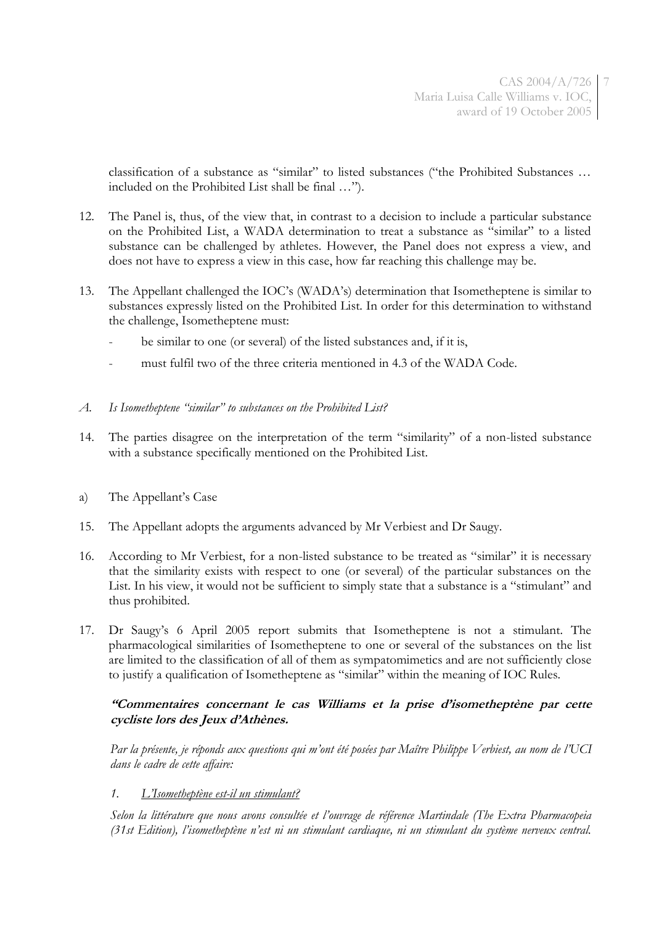7

classification of a substance as "similar" to listed substances ("the Prohibited Substances … included on the Prohibited List shall be final …").

- 12. The Panel is, thus, of the view that, in contrast to a decision to include a particular substance on the Prohibited List, a WADA determination to treat a substance as "similar" to a listed substance can be challenged by athletes. However, the Panel does not express a view, and does not have to express a view in this case, how far reaching this challenge may be.
- 13. The Appellant challenged the IOC's (WADA's) determination that Isometheptene is similar to substances expressly listed on the Prohibited List. In order for this determination to withstand the challenge, Isometheptene must:
	- be similar to one (or several) of the listed substances and, if it is,
	- must fulfil two of the three criteria mentioned in 4.3 of the WADA Code.

#### *A. Is Isometheptene "similar" to substances on the Prohibited List?*

- 14. The parties disagree on the interpretation of the term "similarity" of a non-listed substance with a substance specifically mentioned on the Prohibited List.
- a) The Appellant's Case
- 15. The Appellant adopts the arguments advanced by Mr Verbiest and Dr Saugy.
- 16. According to Mr Verbiest, for a non-listed substance to be treated as "similar" it is necessary that the similarity exists with respect to one (or several) of the particular substances on the List. In his view, it would not be sufficient to simply state that a substance is a "stimulant" and thus prohibited.
- 17. Dr Saugy's 6 April 2005 report submits that Isometheptene is not a stimulant. The pharmacological similarities of Isometheptene to one or several of the substances on the list are limited to the classification of all of them as sympatomimetics and are not sufficiently close to justify a qualification of Isometheptene as "similar" within the meaning of IOC Rules.

### **"Commentaires concernant le cas Williams et la prise d'isometheptène par cette cycliste lors des Jeux d'Athènes.**

*Par la présente, je réponds aux questions qui m'ont été posées par Maître Philippe Verbiest, au nom de l'UCI dans le cadre de cette affaire:*

#### *1. L'Isometheptène est-il un stimulant?*

*Selon la littérature que nous avons consultée et l'ouvrage de référence Martindale (The Extra Pharmacopeia (31st Edition), l'isometheptène n'est ni un stimulant cardiaque, ni un stimulant du système nerveux central.*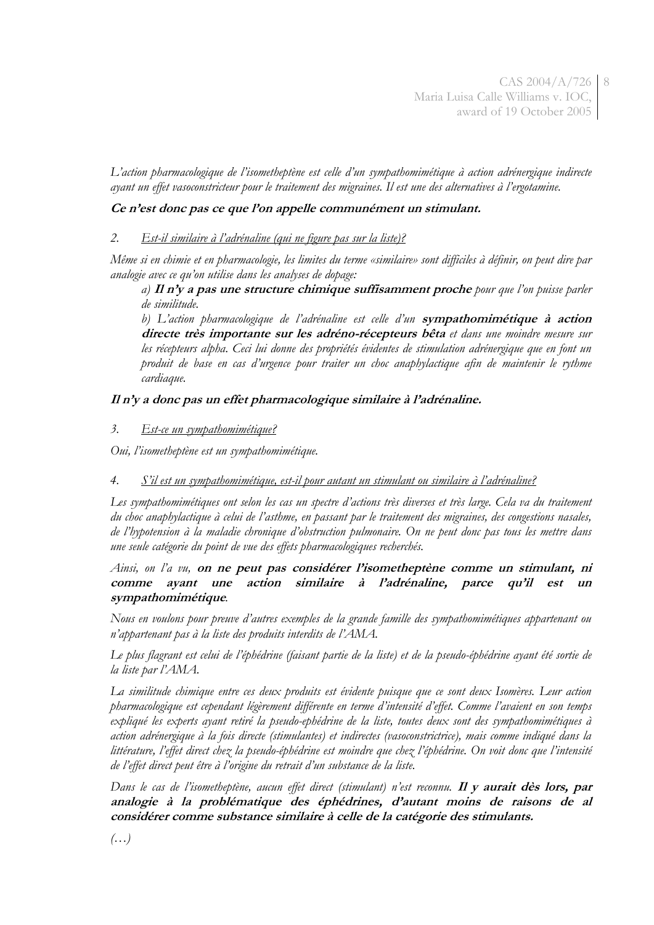*L'action pharmacologique de l'isometheptène est celle d'un sympathomimétique à action adrénergique indirecte ayant un effet vasoconstricteur pour le traitement des migraines. Il est une des alternatives à l'ergotamine.*

### **Ce n'est donc pas ce que l'on appelle communément un stimulant.**

### *2. Est-il similaire à l'adrénaline (qui ne figure pas sur la liste)?*

*Même si en chimie et en pharmacologie, les limites du terme «similaire» sont difficiles à définir, on peut dire par analogie avec ce qu'on utilise dans les analyses de dopage:*

*a)* **Il n'y a pas une structure chimique suffisamment proche** *pour que l'on puisse parler de similitude.*

*b) L'action pharmacologique de l'adrénaline est celle d'un* **sympathomimétique à action directe très importante sur les adréno-récepteurs bêta** *et dans une moindre mesure sur les récepteurs alpha. Ceci lui donne des propriétés évidentes de stimulation adrénergique que en font un produit de base en cas d'urgence pour traiter un choc anaphylactique afin de maintenir le rythme cardiaque.*

## **Il n'y a donc pas un effet pharmacologique similaire à l'adrénaline.**

## *3. Est-ce un sympathomimétique?*

*Oui, l'isometheptène est un sympathomimétique.*

# *4. S'il est un sympathomimétique, est-il pour autant un stimulant ou similaire à l'adrénaline?*

*Les sympathomimétiques ont selon les cas un spectre d'actions très diverses et très large. Cela va du traitement du choc anaphylactique à celui de l'asthme, en passant par le traitement des migraines, des congestions nasales, de l'hypotension à la maladie chronique d'obstruction pulmonaire. On ne peut donc pas tous les mettre dans une seule catégorie du point de vue des effets pharmacologiques recherchés.*

### *Ainsi, on l'a vu,* **on ne peut pas considérer l'isometheptène comme un stimulant, ni comme ayant une action similaire à l'adrénaline, parce qu'il est un sympathomimétique***.*

*Nous en voulons pour preuve d'autres exemples de la grande famille des sympathomimétiques appartenant ou n'appartenant pas à la liste des produits interdits de l'AMA.*

*Le plus flagrant est celui de l'éphédrine (faisant partie de la liste) et de la pseudo-éphédrine ayant été sortie de la liste par l'AMA.* 

*La similitude chimique entre ces deux produits est évidente puisque que ce sont deux Isomères. Leur action pharmacologique est cependant légèrement différente en terme d'intensité d'effet. Comme l'avaient en son temps expliqué les experts ayant retiré la pseudo-ephédrine de la liste, toutes deux sont des sympathomimétiques à action adrénergique à la fois directe (stimulantes) et indirectes (vasoconstrictrice), mais comme indiqué dans la littérature, l'effet direct chez la pseudo-éphédrine est moindre que chez l'éphédrine. On voit donc que l'intensité de l'effet direct peut être à l'origine du retrait d'un substance de la liste.*

*Dans le cas de l'isometheptène, aucun effet direct (stimulant) n'est reconnu.* **Il y aurait dès lors, par analogie à la problématique des éphédrines, d'autant moins de raisons de al considérer comme substance similaire à celle de la catégorie des stimulants.**

*(…)*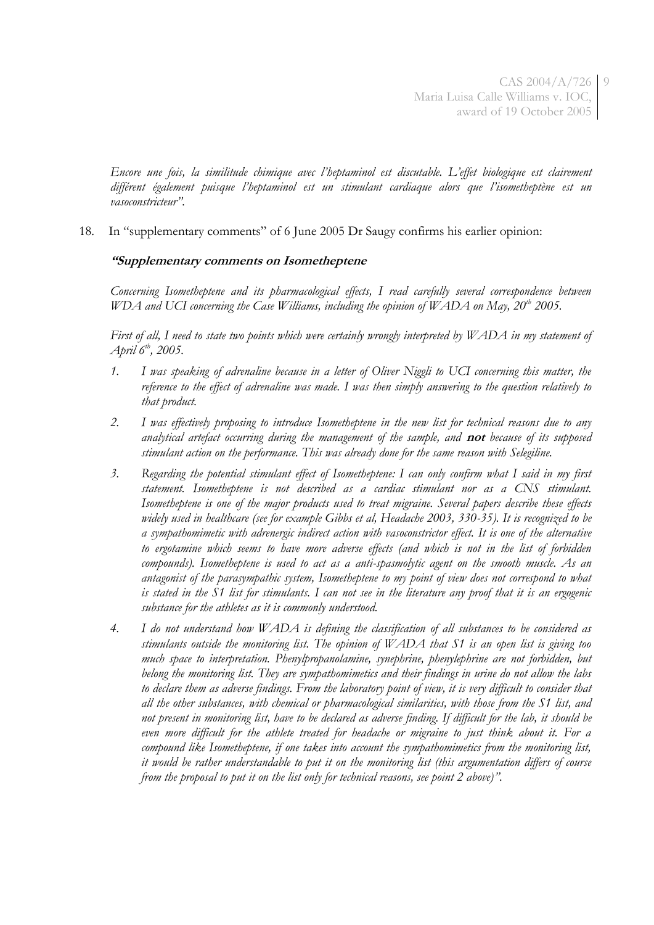*Encore une fois, la similitude chimique avec l'heptaminol est discutable. L'effet biologique est clairement différent également puisque l'heptaminol est un stimulant cardiaque alors que l'isometheptène est un vasoconstricteur".*

18. In "supplementary comments" of 6 June 2005 Dr Saugy confirms his earlier opinion:

## **"Supplementary comments on Isometheptene**

*Concerning Isometheptene and its pharmacological effects, I read carefully several correspondence between WDA and UCI concerning the Case Williams, including the opinion of WADA on May, 20th 2005.*

*First of all, I need to state two points which were certainly wrongly interpreted by WADA in my statement of April 6th, 2005.*

- *1. I was speaking of adrenaline because in a letter of Oliver Niggli to UCI concerning this matter, the reference to the effect of adrenaline was made. I was then simply answering to the question relatively to that product.*
- *2. I was effectively proposing to introduce Isometheptene in the new list for technical reasons due to any analytical artefact occurring during the management of the sample, and* **not** *because of its supposed stimulant action on the performance. This was already done for the same reason with Selegiline.*
- *3. Regarding the potential stimulant effect of Isometheptene: I can only confirm what I said in my first statement. Isometheptene is not described as a cardiac stimulant nor as a CNS stimulant. Isometheptene is one of the major products used to treat migraine. Several papers describe these effects widely used in healthcare (see for example Gibbs et al, Headache 2003, 330-35). It is recognized to be a sympathomimetic with adrenergic indirect action with vasoconstrictor effect. It is one of the alternative to ergotamine which seems to have more adverse effects (and which is not in the list of forbidden compounds). Isometheptene is used to act as a anti-spasmolytic agent on the smooth muscle. As an antagonist of the parasympathic system, Isometheptene to my point of view does not correspond to what is stated in the S1 list for stimulants. I can not see in the literature any proof that it is an ergogenic substance for the athletes as it is commonly understood.*
- *4. I do not understand how WADA is defining the classification of all substances to be considered as stimulants outside the monitoring list. The opinion of WADA that S1 is an open list is giving too much space to interpretation. Phenylpropanolamine, synephrine, phenylephrine are not forbidden, but belong the monitoring list. They are sympathomimetics and their findings in urine do not allow the labs*  to declare them as adverse findings. From the laboratory point of view, it is very difficult to consider that *all the other substances, with chemical or pharmacological similarities, with those from the S1 list, and not present in monitoring list, have to be declared as adverse finding. If difficult for the lab, it should be even more difficult for the athlete treated for headache or migraine to just think about it. For a compound like Isometheptene, if one takes into account the sympathomimetics from the monitoring list, it would be rather understandable to put it on the monitoring list (this argumentation differs of course from the proposal to put it on the list only for technical reasons, see point 2 above)".*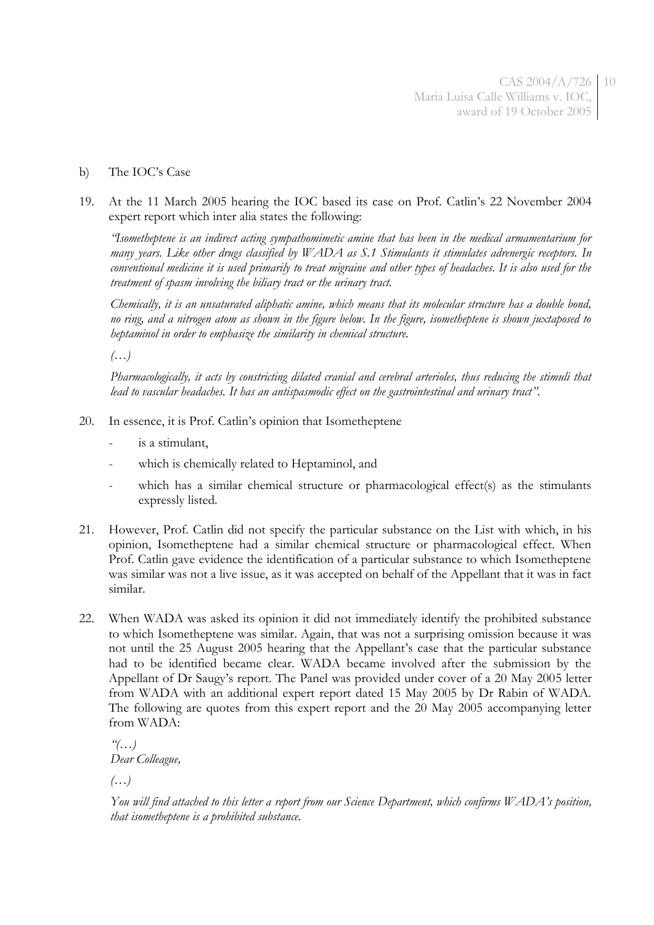- b) The IOC's Case
- 19. At the 11 March 2005 hearing the IOC based its case on Prof. Catlin's 22 November 2004 expert report which inter alia states the following:

*"Isometheptene is an indirect acting sympathomimetic amine that has been in the medical armamentarium for many years. Like other drugs classified by WADA as S.1 Stimulants it stimulates adrenergic receptors. In conventional medicine it is used primarily to treat migraine and other types of headaches. It is also used for the treatment of spasm involving the biliary tract or the urinary tract.*

*Chemically, it is an unsaturated aliphatic amine, which means that its molecular structure has a double bond, no ring, and a nitrogen atom as shown in the figure below. In the figure, isometheptene is shown juxtaposed to heptaminol in order to emphasize the similarity in chemical structure.*

*(…)*

Pharmacologically, it acts by constricting dilated cranial and cerebral arterioles, thus reducing the stimuli that *lead to vascular headaches. It has an antispasmodic effect on the gastrointestinal and urinary tract".*

- 20. In essence, it is Prof. Catlin's opinion that Isometheptene
	- is a stimulant,
	- which is chemically related to Heptaminol, and
	- which has a similar chemical structure or pharmacological effect(s) as the stimulants expressly listed.
- 21. However, Prof. Catlin did not specify the particular substance on the List with which, in his opinion, Isometheptene had a similar chemical structure or pharmacological effect. When Prof. Catlin gave evidence the identification of a particular substance to which Isometheptene was similar was not a live issue, as it was accepted on behalf of the Appellant that it was in fact similar.
- 22. When WADA was asked its opinion it did not immediately identify the prohibited substance to which Isometheptene was similar. Again, that was not a surprising omission because it was not until the 25 August 2005 hearing that the Appellant's case that the particular substance had to be identified became clear. WADA became involved after the submission by the Appellant of Dr Saugy's report. The Panel was provided under cover of a 20 May 2005 letter from WADA with an additional expert report dated 15 May 2005 by Dr Rabin of WADA. The following are quotes from this expert report and the 20 May 2005 accompanying letter from WADA:

*"(…) Dear Colleague,*

*(…)*

*You will find attached to this letter a report from our Science Department, which confirms WADA's position, that isometheptene is a prohibited substance.*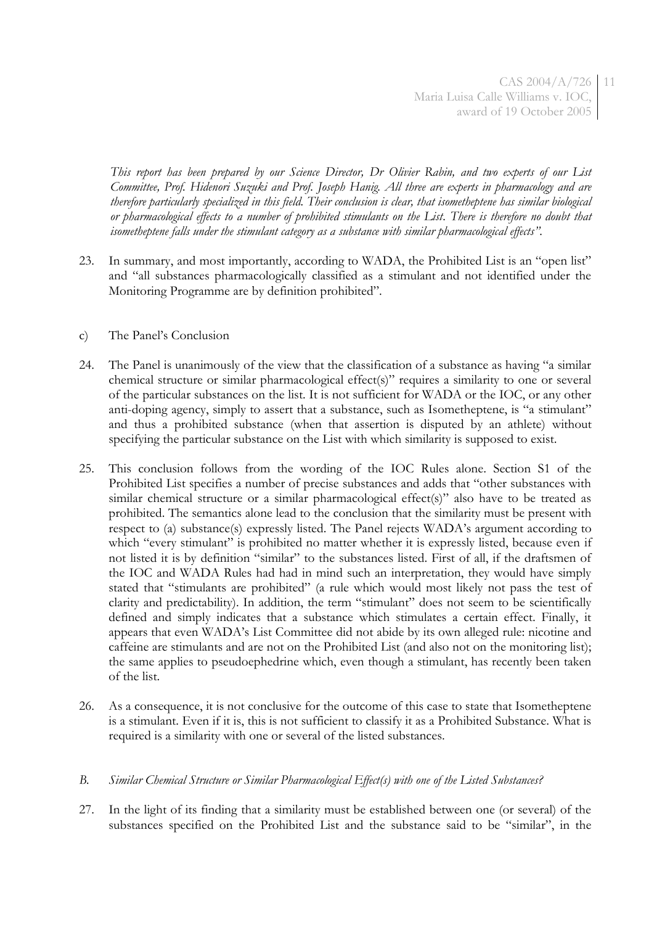*This report has been prepared by our Science Director, Dr Olivier Rabin, and two experts of our List Committee, Prof. Hidenori Suzuki and Prof. Joseph Hanig. All three are experts in pharmacology and are therefore particularly specialized in this field. Their conclusion is clear, that isometheptene has similar biological or pharmacological effects to a number of prohibited stimulants on the List. There is therefore no doubt that isometheptene falls under the stimulant category as a substance with similar pharmacological effects".*

- 23. In summary, and most importantly, according to WADA, the Prohibited List is an "open list" and "all substances pharmacologically classified as a stimulant and not identified under the Monitoring Programme are by definition prohibited".
- c) The Panel's Conclusion
- 24. The Panel is unanimously of the view that the classification of a substance as having "a similar chemical structure or similar pharmacological effect(s)" requires a similarity to one or several of the particular substances on the list. It is not sufficient for WADA or the IOC, or any other anti-doping agency, simply to assert that a substance, such as Isometheptene, is "a stimulant" and thus a prohibited substance (when that assertion is disputed by an athlete) without specifying the particular substance on the List with which similarity is supposed to exist.
- 25. This conclusion follows from the wording of the IOC Rules alone. Section S1 of the Prohibited List specifies a number of precise substances and adds that "other substances with similar chemical structure or a similar pharmacological effect(s)" also have to be treated as prohibited. The semantics alone lead to the conclusion that the similarity must be present with respect to (a) substance(s) expressly listed. The Panel rejects WADA's argument according to which "every stimulant" is prohibited no matter whether it is expressly listed, because even if not listed it is by definition "similar" to the substances listed. First of all, if the draftsmen of the IOC and WADA Rules had had in mind such an interpretation, they would have simply stated that "stimulants are prohibited" (a rule which would most likely not pass the test of clarity and predictability). In addition, the term "stimulant" does not seem to be scientifically defined and simply indicates that a substance which stimulates a certain effect. Finally, it appears that even WADA's List Committee did not abide by its own alleged rule: nicotine and caffeine are stimulants and are not on the Prohibited List (and also not on the monitoring list); the same applies to pseudoephedrine which, even though a stimulant, has recently been taken of the list.
- 26. As a consequence, it is not conclusive for the outcome of this case to state that Isometheptene is a stimulant. Even if it is, this is not sufficient to classify it as a Prohibited Substance. What is required is a similarity with one or several of the listed substances.

### *B. Similar Chemical Structure or Similar Pharmacological Effect(s) with one of the Listed Substances?*

27. In the light of its finding that a similarity must be established between one (or several) of the substances specified on the Prohibited List and the substance said to be "similar", in the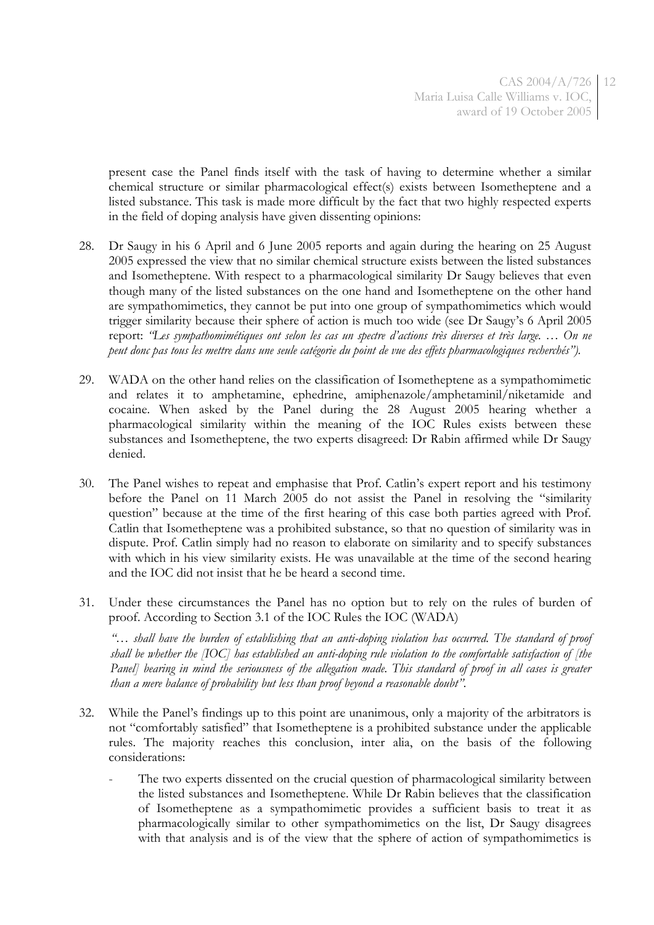present case the Panel finds itself with the task of having to determine whether a similar chemical structure or similar pharmacological effect(s) exists between Isometheptene and a listed substance. This task is made more difficult by the fact that two highly respected experts in the field of doping analysis have given dissenting opinions:

- 28. Dr Saugy in his 6 April and 6 June 2005 reports and again during the hearing on 25 August 2005 expressed the view that no similar chemical structure exists between the listed substances and Isometheptene. With respect to a pharmacological similarity Dr Saugy believes that even though many of the listed substances on the one hand and Isometheptene on the other hand are sympathomimetics, they cannot be put into one group of sympathomimetics which would trigger similarity because their sphere of action is much too wide (see Dr Saugy's 6 April 2005 report: *"Les sympathomimétiques ont selon les cas un spectre d'actions très diverses et très large. … On ne peut donc pas tous les mettre dans une seule catégorie du point de vue des effets pharmacologiques recherchés").*
- 29. WADA on the other hand relies on the classification of Isometheptene as a sympathomimetic and relates it to amphetamine, ephedrine, amiphenazole/amphetaminil/niketamide and cocaine. When asked by the Panel during the 28 August 2005 hearing whether a pharmacological similarity within the meaning of the IOC Rules exists between these substances and Isometheptene, the two experts disagreed: Dr Rabin affirmed while Dr Saugy denied.
- 30. The Panel wishes to repeat and emphasise that Prof. Catlin's expert report and his testimony before the Panel on 11 March 2005 do not assist the Panel in resolving the "similarity question" because at the time of the first hearing of this case both parties agreed with Prof. Catlin that Isometheptene was a prohibited substance, so that no question of similarity was in dispute. Prof. Catlin simply had no reason to elaborate on similarity and to specify substances with which in his view similarity exists. He was unavailable at the time of the second hearing and the IOC did not insist that he be heard a second time.
- 31. Under these circumstances the Panel has no option but to rely on the rules of burden of proof. According to Section 3.1 of the IOC Rules the IOC (WADA)

*"*… *shall have the burden of establishing that an anti-doping violation has occurred. The standard of proof shall be whether the [IOC] has established an anti-doping rule violation to the comfortable satisfaction of [the Panel* bearing in mind the seriousness of the allegation made. This standard of proof in all cases is greater *than a mere balance of probability but less than proof beyond a reasonable doubt".*

- 32. While the Panel's findings up to this point are unanimous, only a majority of the arbitrators is not "comfortably satisfied" that Isometheptene is a prohibited substance under the applicable rules. The majority reaches this conclusion, inter alia, on the basis of the following considerations:
	- The two experts dissented on the crucial question of pharmacological similarity between the listed substances and Isometheptene. While Dr Rabin believes that the classification of Isometheptene as a sympathomimetic provides a sufficient basis to treat it as pharmacologically similar to other sympathomimetics on the list, Dr Saugy disagrees with that analysis and is of the view that the sphere of action of sympathomimetics is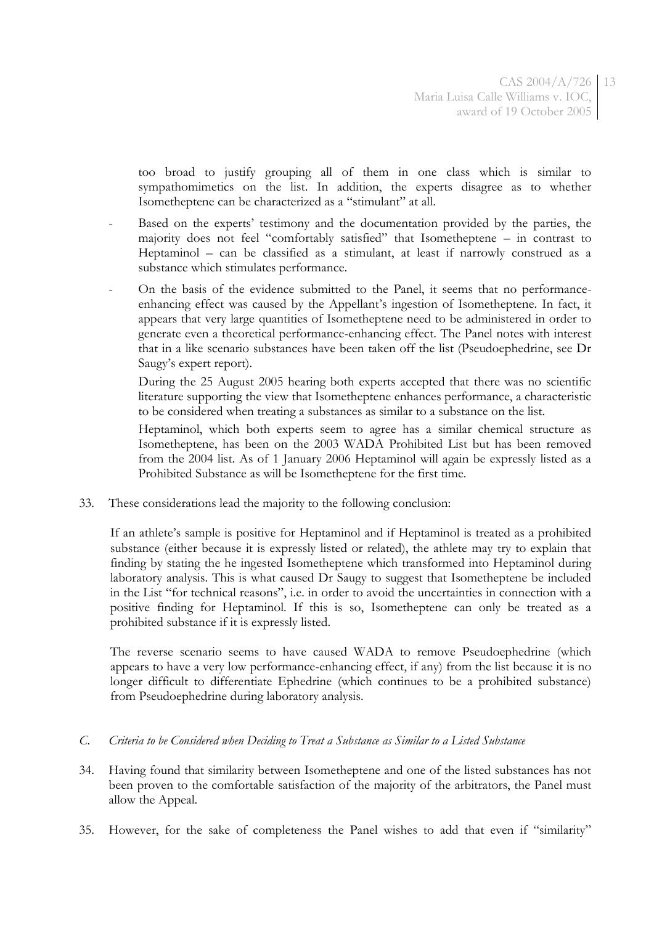too broad to justify grouping all of them in one class which is similar to sympathomimetics on the list. In addition, the experts disagree as to whether Isometheptene can be characterized as a "stimulant" at all.

- Based on the experts' testimony and the documentation provided by the parties, the majority does not feel "comfortably satisfied" that Isometheptene – in contrast to Heptaminol – can be classified as a stimulant, at least if narrowly construed as a substance which stimulates performance.
- On the basis of the evidence submitted to the Panel, it seems that no performanceenhancing effect was caused by the Appellant's ingestion of Isometheptene. In fact, it appears that very large quantities of Isometheptene need to be administered in order to generate even a theoretical performance-enhancing effect. The Panel notes with interest that in a like scenario substances have been taken off the list (Pseudoephedrine, see Dr Saugy's expert report).

During the 25 August 2005 hearing both experts accepted that there was no scientific literature supporting the view that Isometheptene enhances performance, a characteristic to be considered when treating a substances as similar to a substance on the list.

Heptaminol, which both experts seem to agree has a similar chemical structure as Isometheptene, has been on the 2003 WADA Prohibited List but has been removed from the 2004 list. As of 1 January 2006 Heptaminol will again be expressly listed as a Prohibited Substance as will be Isometheptene for the first time.

33. These considerations lead the majority to the following conclusion:

If an athlete's sample is positive for Heptaminol and if Heptaminol is treated as a prohibited substance (either because it is expressly listed or related), the athlete may try to explain that finding by stating the he ingested Isometheptene which transformed into Heptaminol during laboratory analysis. This is what caused Dr Saugy to suggest that Isometheptene be included in the List "for technical reasons", i.e. in order to avoid the uncertainties in connection with a positive finding for Heptaminol. If this is so, Isometheptene can only be treated as a prohibited substance if it is expressly listed.

The reverse scenario seems to have caused WADA to remove Pseudoephedrine (which appears to have a very low performance-enhancing effect, if any) from the list because it is no longer difficult to differentiate Ephedrine (which continues to be a prohibited substance) from Pseudoephedrine during laboratory analysis.

- *C. Criteria to be Considered when Deciding to Treat a Substance as Similar to a Listed Substance*
- 34. Having found that similarity between Isometheptene and one of the listed substances has not been proven to the comfortable satisfaction of the majority of the arbitrators, the Panel must allow the Appeal.
- 35. However, for the sake of completeness the Panel wishes to add that even if "similarity"